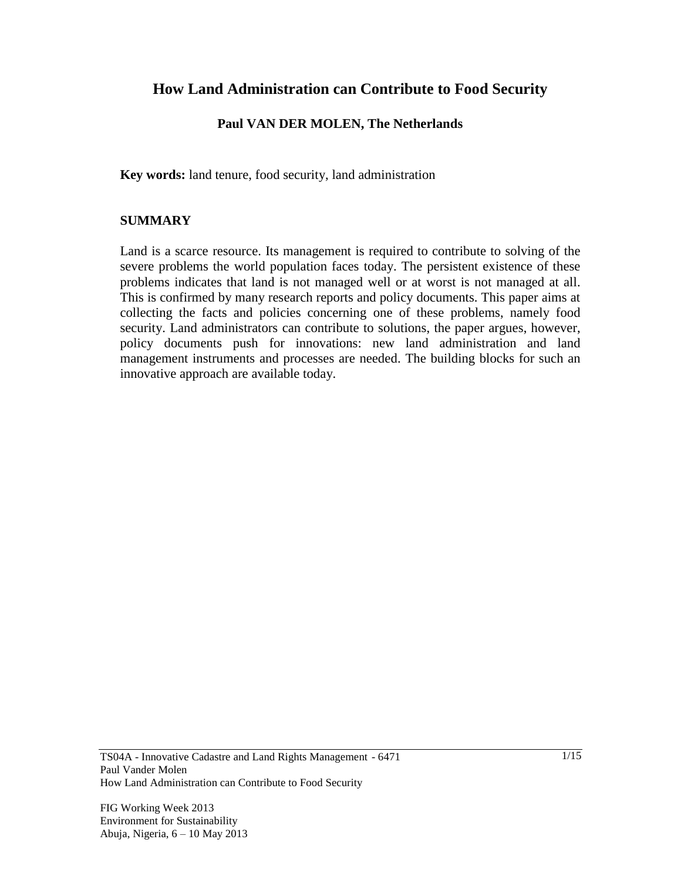# **How Land Administration can Contribute to Food Security**

#### **Paul VAN DER MOLEN, The Netherlands**

**Key words:** land tenure, food security, land administration

#### **SUMMARY**

Land is a scarce resource. Its management is required to contribute to solving of the severe problems the world population faces today. The persistent existence of these problems indicates that land is not managed well or at worst is not managed at all. This is confirmed by many research reports and policy documents. This paper aims at collecting the facts and policies concerning one of these problems, namely food security. Land administrators can contribute to solutions, the paper argues, however, policy documents push for innovations: new land administration and land management instruments and processes are needed. The building blocks for such an innovative approach are available today.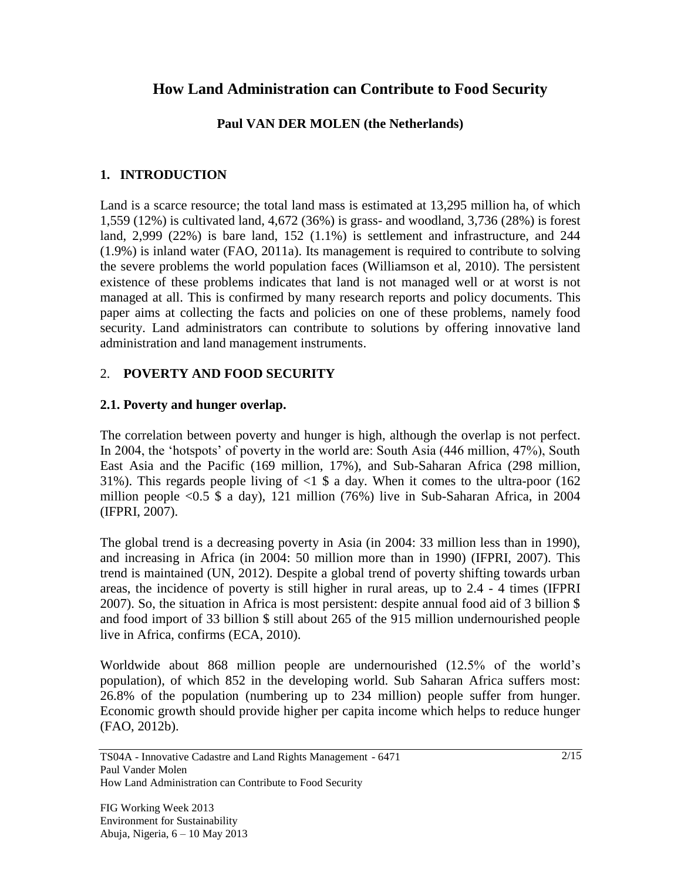# **How Land Administration can Contribute to Food Security**

## **Paul VAN DER MOLEN (the Netherlands)**

## **1. INTRODUCTION**

Land is a scarce resource; the total land mass is estimated at 13,295 million ha, of which 1,559 (12%) is cultivated land, 4,672 (36%) is grass- and woodland, 3,736 (28%) is forest land, 2,999 (22%) is bare land, 152 (1.1%) is settlement and infrastructure, and 244 (1.9%) is inland water (FAO, 2011a). Its management is required to contribute to solving the severe problems the world population faces (Williamson et al, 2010). The persistent existence of these problems indicates that land is not managed well or at worst is not managed at all. This is confirmed by many research reports and policy documents. This paper aims at collecting the facts and policies on one of these problems, namely food security. Land administrators can contribute to solutions by offering innovative land administration and land management instruments.

## 2. **POVERTY AND FOOD SECURITY**

## **2.1. Poverty and hunger overlap.**

The correlation between poverty and hunger is high, although the overlap is not perfect. In 2004, the 'hotspots' of poverty in the world are: South Asia (446 million, 47%), South East Asia and the Pacific (169 million, 17%), and Sub-Saharan Africa (298 million, 31%). This regards people living of  $\langle 1 \rangle$  a day. When it comes to the ultra-poor (162 million people <0.5 \$ a day), 121 million (76%) live in Sub-Saharan Africa, in 2004 (IFPRI, 2007).

The global trend is a decreasing poverty in Asia (in 2004: 33 million less than in 1990), and increasing in Africa (in 2004: 50 million more than in 1990) (IFPRI, 2007). This trend is maintained (UN, 2012). Despite a global trend of poverty shifting towards urban areas, the incidence of poverty is still higher in rural areas, up to 2.4 - 4 times (IFPRI 2007). So, the situation in Africa is most persistent: despite annual food aid of 3 billion \$ and food import of 33 billion \$ still about 265 of the 915 million undernourished people live in Africa, confirms (ECA, 2010).

Worldwide about 868 million people are undernourished (12.5% of the world's population), of which 852 in the developing world. Sub Saharan Africa suffers most: 26.8% of the population (numbering up to 234 million) people suffer from hunger. Economic growth should provide higher per capita income which helps to reduce hunger (FAO, 2012b).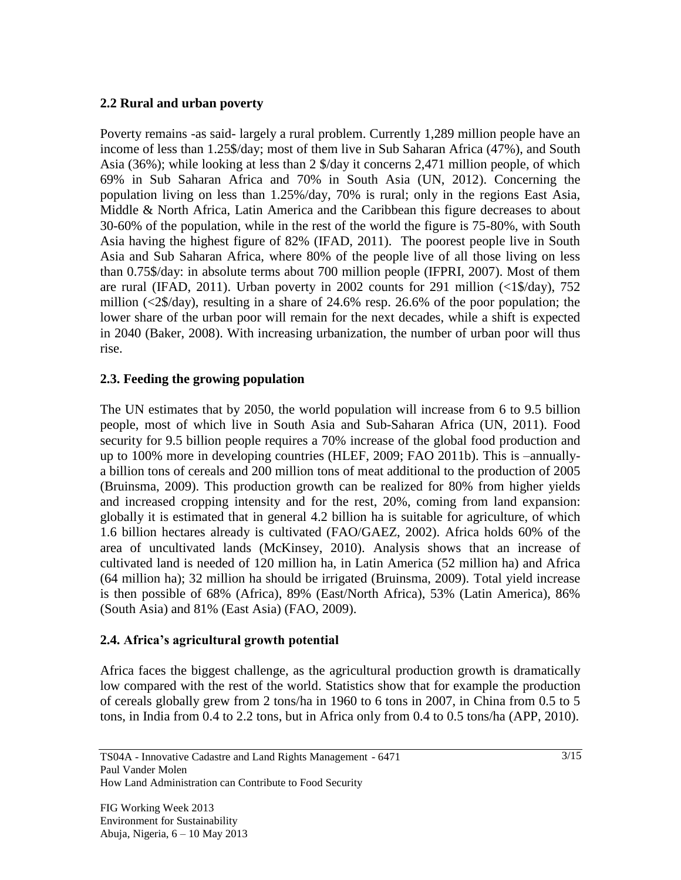### **2.2 Rural and urban poverty**

Poverty remains -as said- largely a rural problem. Currently 1,289 million people have an income of less than 1.25\$/day; most of them live in Sub Saharan Africa (47%), and South Asia (36%); while looking at less than 2 \$/day it concerns 2,471 million people, of which 69% in Sub Saharan Africa and 70% in South Asia (UN, 2012). Concerning the population living on less than 1.25%/day, 70% is rural; only in the regions East Asia, Middle & North Africa, Latin America and the Caribbean this figure decreases to about 30-60% of the population, while in the rest of the world the figure is 75-80%, with South Asia having the highest figure of 82% (IFAD, 2011). The poorest people live in South Asia and Sub Saharan Africa, where 80% of the people live of all those living on less than 0.75\$/day: in absolute terms about 700 million people (IFPRI, 2007). Most of them are rural (IFAD, 2011). Urban poverty in 2002 counts for 291 million  $\langle \langle 1 \rangle \rangle$  day), 752 million  $\langle \langle 2 \rangle$  day), resulting in a share of 24.6% resp. 26.6% of the poor population; the lower share of the urban poor will remain for the next decades, while a shift is expected in 2040 (Baker, 2008). With increasing urbanization, the number of urban poor will thus rise.

## **2.3. Feeding the growing population**

The UN estimates that by 2050, the world population will increase from 6 to 9.5 billion people, most of which live in South Asia and Sub-Saharan Africa (UN, 2011). Food security for 9.5 billion people requires a 70% increase of the global food production and up to 100% more in developing countries (HLEF, 2009; FAO 2011b). This is –annuallya billion tons of cereals and 200 million tons of meat additional to the production of 2005 (Bruinsma, 2009). This production growth can be realized for 80% from higher yields and increased cropping intensity and for the rest, 20%, coming from land expansion: globally it is estimated that in general 4.2 billion ha is suitable for agriculture, of which 1.6 billion hectares already is cultivated (FAO/GAEZ, 2002). Africa holds 60% of the area of uncultivated lands (McKinsey, 2010). Analysis shows that an increase of cultivated land is needed of 120 million ha, in Latin America (52 million ha) and Africa (64 million ha); 32 million ha should be irrigated (Bruinsma, 2009). Total yield increase is then possible of 68% (Africa), 89% (East/North Africa), 53% (Latin America), 86% (South Asia) and 81% (East Asia) (FAO, 2009).

#### **2.4. Africa's agricultural growth potential**

Africa faces the biggest challenge, as the agricultural production growth is dramatically low compared with the rest of the world. Statistics show that for example the production of cereals globally grew from 2 tons/ha in 1960 to 6 tons in 2007, in China from 0.5 to 5 tons, in India from 0.4 to 2.2 tons, but in Africa only from 0.4 to 0.5 tons/ha (APP, 2010).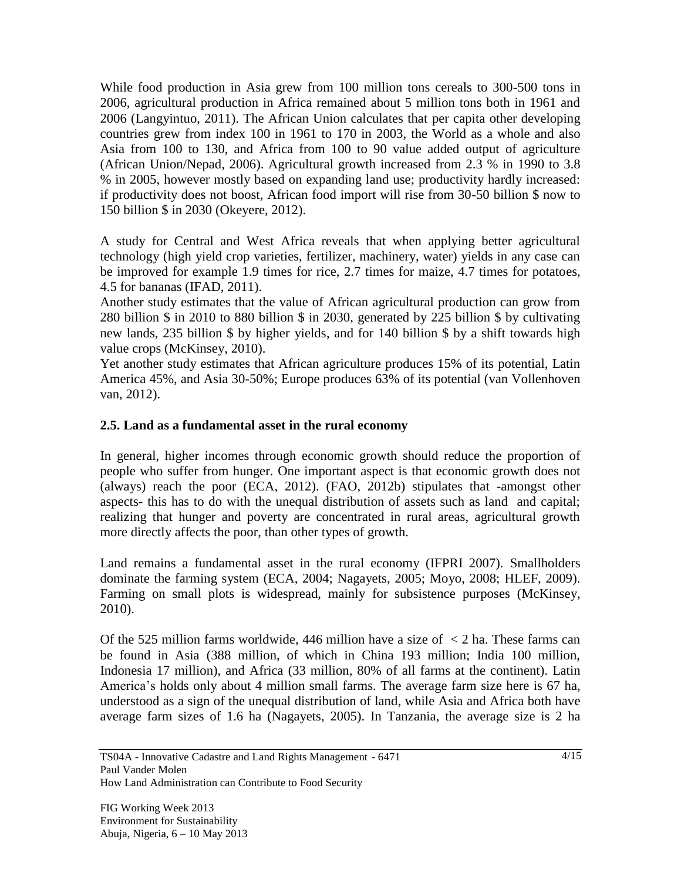While food production in Asia grew from 100 million tons cereals to 300-500 tons in 2006, agricultural production in Africa remained about 5 million tons both in 1961 and 2006 (Langyintuo, 2011). The African Union calculates that per capita other developing countries grew from index 100 in 1961 to 170 in 2003, the World as a whole and also Asia from 100 to 130, and Africa from 100 to 90 value added output of agriculture (African Union/Nepad, 2006). Agricultural growth increased from 2.3 % in 1990 to 3.8 % in 2005, however mostly based on expanding land use; productivity hardly increased: if productivity does not boost, African food import will rise from 30-50 billion \$ now to 150 billion \$ in 2030 (Okeyere, 2012).

A study for Central and West Africa reveals that when applying better agricultural technology (high yield crop varieties, fertilizer, machinery, water) yields in any case can be improved for example 1.9 times for rice, 2.7 times for maize, 4.7 times for potatoes, 4.5 for bananas (IFAD, 2011).

Another study estimates that the value of African agricultural production can grow from 280 billion \$ in 2010 to 880 billion \$ in 2030, generated by 225 billion \$ by cultivating new lands, 235 billion \$ by higher yields, and for 140 billion \$ by a shift towards high value crops (McKinsey, 2010).

Yet another study estimates that African agriculture produces 15% of its potential, Latin America 45%, and Asia 30-50%; Europe produces 63% of its potential (van Vollenhoven van, 2012).

## **2.5. Land as a fundamental asset in the rural economy**

In general, higher incomes through economic growth should reduce the proportion of people who suffer from hunger. One important aspect is that economic growth does not (always) reach the poor (ECA, 2012). (FAO, 2012b) stipulates that -amongst other aspects- this has to do with the unequal distribution of assets such as land and capital; realizing that hunger and poverty are concentrated in rural areas, agricultural growth more directly affects the poor, than other types of growth.

Land remains a fundamental asset in the rural economy (IFPRI 2007). Smallholders dominate the farming system (ECA, 2004; Nagayets, 2005; Moyo, 2008; HLEF, 2009). Farming on small plots is widespread, mainly for subsistence purposes (McKinsey, 2010).

Of the 525 million farms worldwide, 446 million have a size of  $\leq$  2 ha. These farms can be found in Asia (388 million, of which in China 193 million; India 100 million, Indonesia 17 million), and Africa (33 million, 80% of all farms at the continent). Latin America's holds only about 4 million small farms. The average farm size here is 67 ha, understood as a sign of the unequal distribution of land, while Asia and Africa both have average farm sizes of 1.6 ha (Nagayets, 2005). In Tanzania, the average size is 2 ha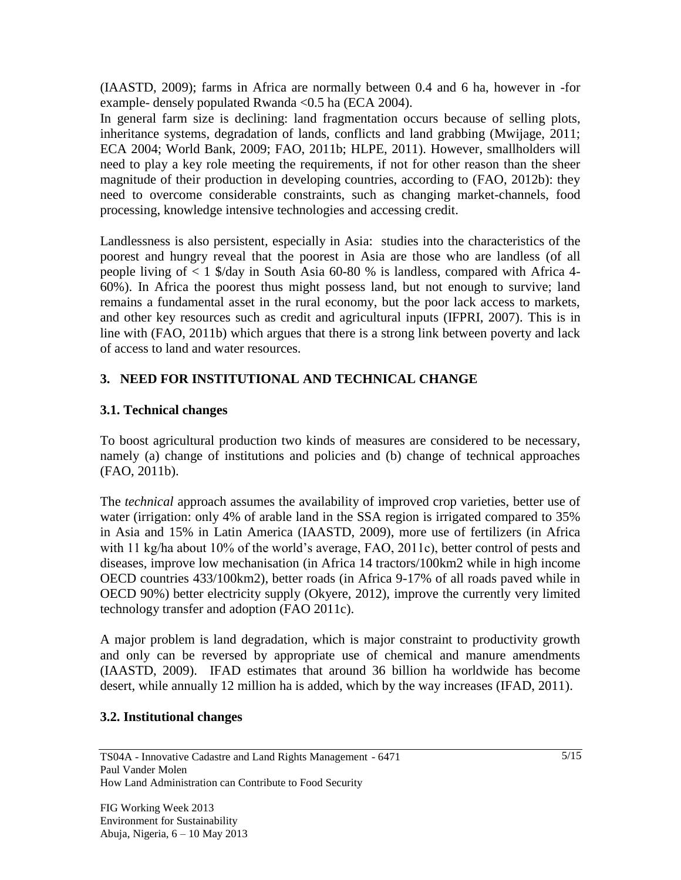(IAASTD, 2009); farms in Africa are normally between 0.4 and 6 ha, however in -for example- densely populated Rwanda <0.5 ha (ECA 2004).

In general farm size is declining: land fragmentation occurs because of selling plots, inheritance systems, degradation of lands, conflicts and land grabbing (Mwijage, 2011; ECA 2004; World Bank, 2009; FAO, 2011b; HLPE, 2011). However, smallholders will need to play a key role meeting the requirements, if not for other reason than the sheer magnitude of their production in developing countries, according to (FAO, 2012b): they need to overcome considerable constraints, such as changing market-channels, food processing, knowledge intensive technologies and accessing credit.

Landlessness is also persistent, especially in Asia: studies into the characteristics of the poorest and hungry reveal that the poorest in Asia are those who are landless (of all people living of < 1 \$/day in South Asia 60-80 % is landless, compared with Africa 4- 60%). In Africa the poorest thus might possess land, but not enough to survive; land remains a fundamental asset in the rural economy, but the poor lack access to markets, and other key resources such as credit and agricultural inputs (IFPRI, 2007). This is in line with (FAO, 2011b) which argues that there is a strong link between poverty and lack of access to land and water resources.

## **3. NEED FOR INSTITUTIONAL AND TECHNICAL CHANGE**

## **3.1. Technical changes**

To boost agricultural production two kinds of measures are considered to be necessary, namely (a) change of institutions and policies and (b) change of technical approaches (FAO, 2011b).

The *technical* approach assumes the availability of improved crop varieties, better use of water (irrigation: only 4% of arable land in the SSA region is irrigated compared to 35% in Asia and 15% in Latin America (IAASTD, 2009), more use of fertilizers (in Africa with 11 kg/ha about 10% of the world's average, FAO, 2011c), better control of pests and diseases, improve low mechanisation (in Africa 14 tractors/100km2 while in high income OECD countries 433/100km2), better roads (in Africa 9-17% of all roads paved while in OECD 90%) better electricity supply (Okyere, 2012), improve the currently very limited technology transfer and adoption (FAO 2011c).

A major problem is land degradation, which is major constraint to productivity growth and only can be reversed by appropriate use of chemical and manure amendments (IAASTD, 2009). IFAD estimates that around 36 billion ha worldwide has become desert, while annually 12 million ha is added, which by the way increases (IFAD, 2011).

#### **3.2. Institutional changes**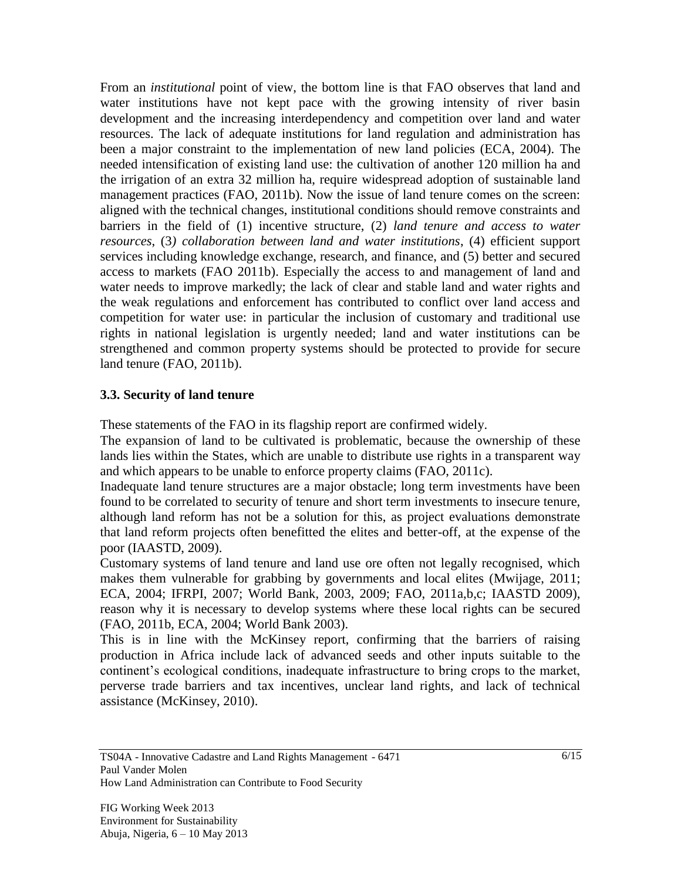From an *institutional* point of view, the bottom line is that FAO observes that land and water institutions have not kept pace with the growing intensity of river basin development and the increasing interdependency and competition over land and water resources. The lack of adequate institutions for land regulation and administration has been a major constraint to the implementation of new land policies (ECA, 2004). The needed intensification of existing land use: the cultivation of another 120 million ha and the irrigation of an extra 32 million ha, require widespread adoption of sustainable land management practices (FAO, 2011b). Now the issue of land tenure comes on the screen: aligned with the technical changes, institutional conditions should remove constraints and barriers in the field of (1) incentive structure, (2) *land tenure and access to water resources*, (3*) collaboration between land and water institutions*, (4) efficient support services including knowledge exchange, research, and finance, and (5) better and secured access to markets (FAO 2011b). Especially the access to and management of land and water needs to improve markedly; the lack of clear and stable land and water rights and the weak regulations and enforcement has contributed to conflict over land access and competition for water use: in particular the inclusion of customary and traditional use rights in national legislation is urgently needed; land and water institutions can be strengthened and common property systems should be protected to provide for secure land tenure (FAO, 2011b).

#### **3.3. Security of land tenure**

These statements of the FAO in its flagship report are confirmed widely.

The expansion of land to be cultivated is problematic, because the ownership of these lands lies within the States, which are unable to distribute use rights in a transparent way and which appears to be unable to enforce property claims (FAO, 2011c).

Inadequate land tenure structures are a major obstacle; long term investments have been found to be correlated to security of tenure and short term investments to insecure tenure, although land reform has not be a solution for this, as project evaluations demonstrate that land reform projects often benefitted the elites and better-off, at the expense of the poor (IAASTD, 2009).

Customary systems of land tenure and land use ore often not legally recognised, which makes them vulnerable for grabbing by governments and local elites (Mwijage, 2011; ECA, 2004; IFRPI, 2007; World Bank, 2003, 2009; FAO, 2011a,b,c; IAASTD 2009), reason why it is necessary to develop systems where these local rights can be secured (FAO, 2011b, ECA, 2004; World Bank 2003).

This is in line with the McKinsey report, confirming that the barriers of raising production in Africa include lack of advanced seeds and other inputs suitable to the continent's ecological conditions, inadequate infrastructure to bring crops to the market, perverse trade barriers and tax incentives, unclear land rights, and lack of technical assistance (McKinsey, 2010).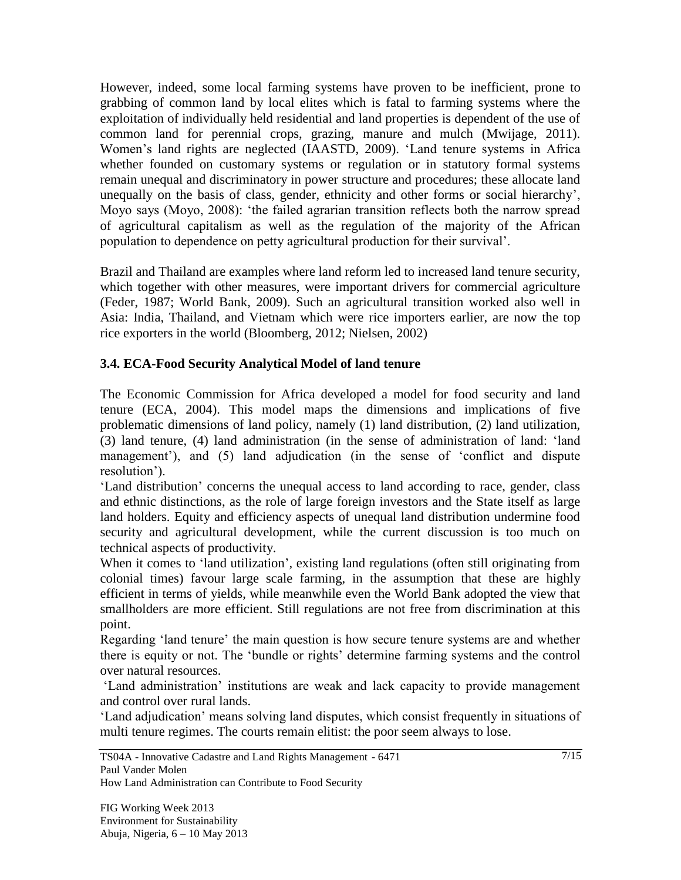However, indeed, some local farming systems have proven to be inefficient, prone to grabbing of common land by local elites which is fatal to farming systems where the exploitation of individually held residential and land properties is dependent of the use of common land for perennial crops, grazing, manure and mulch (Mwijage, 2011). Women's land rights are neglected (IAASTD, 2009). 'Land tenure systems in Africa whether founded on customary systems or regulation or in statutory formal systems remain unequal and discriminatory in power structure and procedures; these allocate land unequally on the basis of class, gender, ethnicity and other forms or social hierarchy', Moyo says (Moyo, 2008): 'the failed agrarian transition reflects both the narrow spread of agricultural capitalism as well as the regulation of the majority of the African population to dependence on petty agricultural production for their survival'.

Brazil and Thailand are examples where land reform led to increased land tenure security, which together with other measures, were important drivers for commercial agriculture (Feder, 1987; World Bank, 2009). Such an agricultural transition worked also well in Asia: India, Thailand, and Vietnam which were rice importers earlier, are now the top rice exporters in the world (Bloomberg, 2012; Nielsen, 2002)

## **3.4. ECA-Food Security Analytical Model of land tenure**

The Economic Commission for Africa developed a model for food security and land tenure (ECA, 2004). This model maps the dimensions and implications of five problematic dimensions of land policy, namely (1) land distribution, (2) land utilization, (3) land tenure, (4) land administration (in the sense of administration of land: 'land management'), and (5) land adjudication (in the sense of 'conflict and dispute resolution').

'Land distribution' concerns the unequal access to land according to race, gender, class and ethnic distinctions, as the role of large foreign investors and the State itself as large land holders. Equity and efficiency aspects of unequal land distribution undermine food security and agricultural development, while the current discussion is too much on technical aspects of productivity.

When it comes to 'land utilization', existing land regulations (often still originating from colonial times) favour large scale farming, in the assumption that these are highly efficient in terms of yields, while meanwhile even the World Bank adopted the view that smallholders are more efficient. Still regulations are not free from discrimination at this point.

Regarding 'land tenure' the main question is how secure tenure systems are and whether there is equity or not. The 'bundle or rights' determine farming systems and the control over natural resources.

'Land administration' institutions are weak and lack capacity to provide management and control over rural lands.

'Land adjudication' means solving land disputes, which consist frequently in situations of multi tenure regimes. The courts remain elitist: the poor seem always to lose.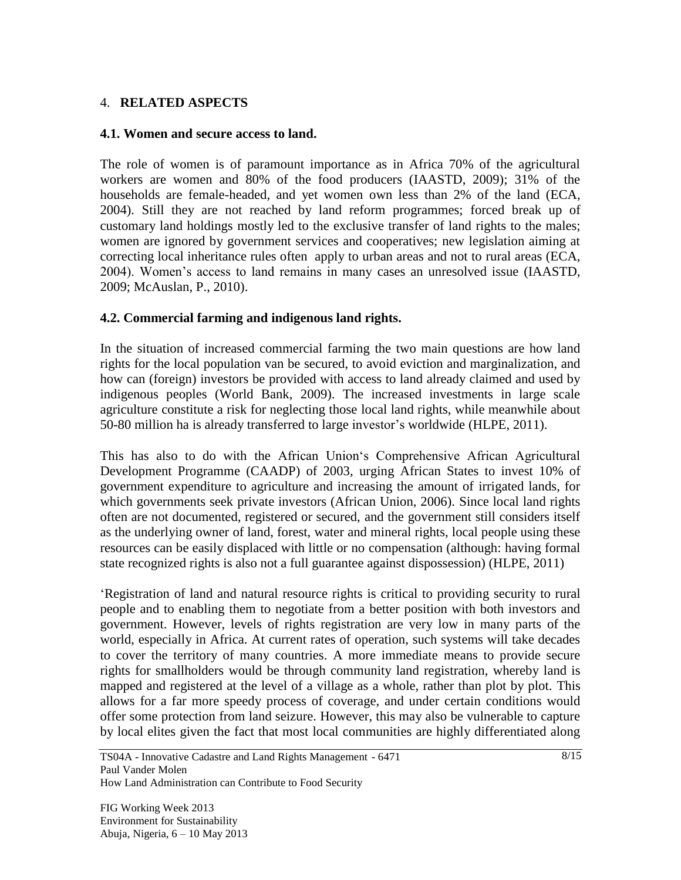#### 4. **RELATED ASPECTS**

#### **4.1. Women and secure access to land.**

The role of women is of paramount importance as in Africa 70% of the agricultural workers are women and 80% of the food producers (IAASTD, 2009); 31% of the households are female-headed, and yet women own less than 2% of the land (ECA, 2004). Still they are not reached by land reform programmes; forced break up of customary land holdings mostly led to the exclusive transfer of land rights to the males; women are ignored by government services and cooperatives; new legislation aiming at correcting local inheritance rules often apply to urban areas and not to rural areas (ECA, 2004). Women's access to land remains in many cases an unresolved issue (IAASTD, 2009; McAuslan, P., 2010).

#### **4.2. Commercial farming and indigenous land rights.**

In the situation of increased commercial farming the two main questions are how land rights for the local population van be secured, to avoid eviction and marginalization, and how can (foreign) investors be provided with access to land already claimed and used by indigenous peoples (World Bank, 2009). The increased investments in large scale agriculture constitute a risk for neglecting those local land rights, while meanwhile about 50-80 million ha is already transferred to large investor's worldwide (HLPE, 2011).

This has also to do with the African Union's Comprehensive African Agricultural Development Programme (CAADP) of 2003, urging African States to invest 10% of government expenditure to agriculture and increasing the amount of irrigated lands, for which governments seek private investors (African Union, 2006). Since local land rights often are not documented, registered or secured, and the government still considers itself as the underlying owner of land, forest, water and mineral rights, local people using these resources can be easily displaced with little or no compensation (although: having formal state recognized rights is also not a full guarantee against dispossession) (HLPE, 2011)

'Registration of land and natural resource rights is critical to providing security to rural people and to enabling them to negotiate from a better position with both investors and government. However, levels of rights registration are very low in many parts of the world, especially in Africa. At current rates of operation, such systems will take decades to cover the territory of many countries. A more immediate means to provide secure rights for smallholders would be through community land registration, whereby land is mapped and registered at the level of a village as a whole, rather than plot by plot. This allows for a far more speedy process of coverage, and under certain conditions would offer some protection from land seizure. However, this may also be vulnerable to capture by local elites given the fact that most local communities are highly differentiated along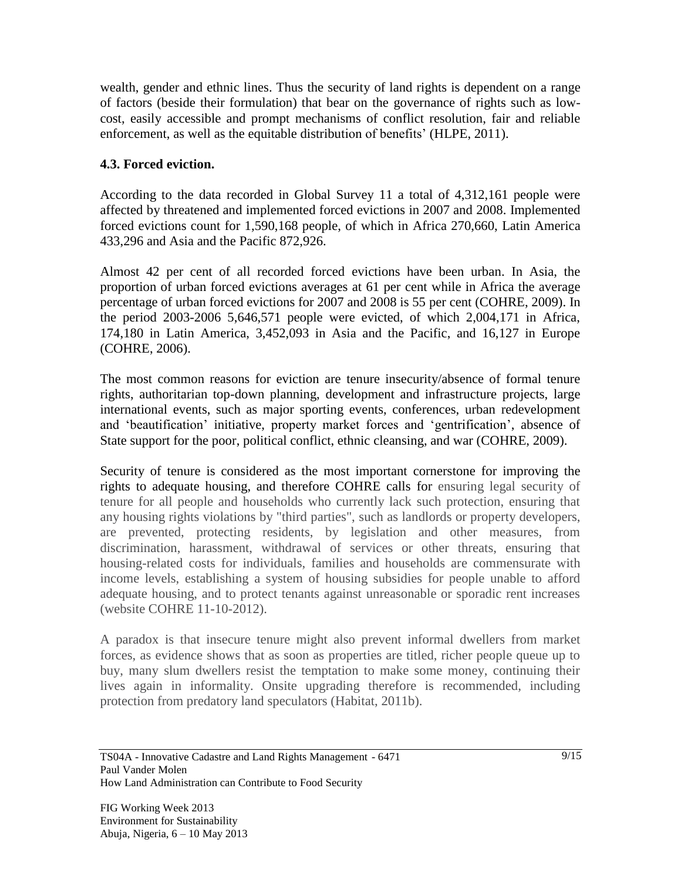wealth, gender and ethnic lines. Thus the security of land rights is dependent on a range of factors (beside their formulation) that bear on the governance of rights such as lowcost, easily accessible and prompt mechanisms of conflict resolution, fair and reliable enforcement, as well as the equitable distribution of benefits' (HLPE, 2011).

## **4.3. Forced eviction.**

According to the data recorded in Global Survey 11 a total of 4,312,161 people were affected by threatened and implemented forced evictions in 2007 and 2008. Implemented forced evictions count for 1,590,168 people, of which in Africa 270,660, Latin America 433,296 and Asia and the Pacific 872,926.

Almost 42 per cent of all recorded forced evictions have been urban. In Asia, the proportion of urban forced evictions averages at 61 per cent while in Africa the average percentage of urban forced evictions for 2007 and 2008 is 55 per cent (COHRE, 2009). In the period 2003-2006 5,646,571 people were evicted, of which 2,004,171 in Africa, 174,180 in Latin America, 3,452,093 in Asia and the Pacific, and 16,127 in Europe (COHRE, 2006).

The most common reasons for eviction are tenure insecurity/absence of formal tenure rights, authoritarian top-down planning, development and infrastructure projects, large international events, such as major sporting events, conferences, urban redevelopment and 'beautification' initiative, property market forces and 'gentrification', absence of State support for the poor, political conflict, ethnic cleansing, and war (COHRE, 2009).

Security of tenure is considered as the most important cornerstone for improving the rights to adequate housing, and therefore COHRE calls for ensuring legal security of tenure for all people and households who currently lack such protection, ensuring that any housing rights violations by "third parties", such as landlords or property developers, are prevented, protecting residents, by legislation and other measures, from discrimination, harassment, withdrawal of services or other threats, ensuring that housing-related costs for individuals, families and households are commensurate with income levels, establishing a system of housing subsidies for people unable to afford adequate housing, and to protect tenants against unreasonable or sporadic rent increases (website COHRE 11-10-2012).

A paradox is that insecure tenure might also prevent informal dwellers from market forces, as evidence shows that as soon as properties are titled, richer people queue up to buy, many slum dwellers resist the temptation to make some money, continuing their lives again in informality. Onsite upgrading therefore is recommended, including protection from predatory land speculators (Habitat, 2011b).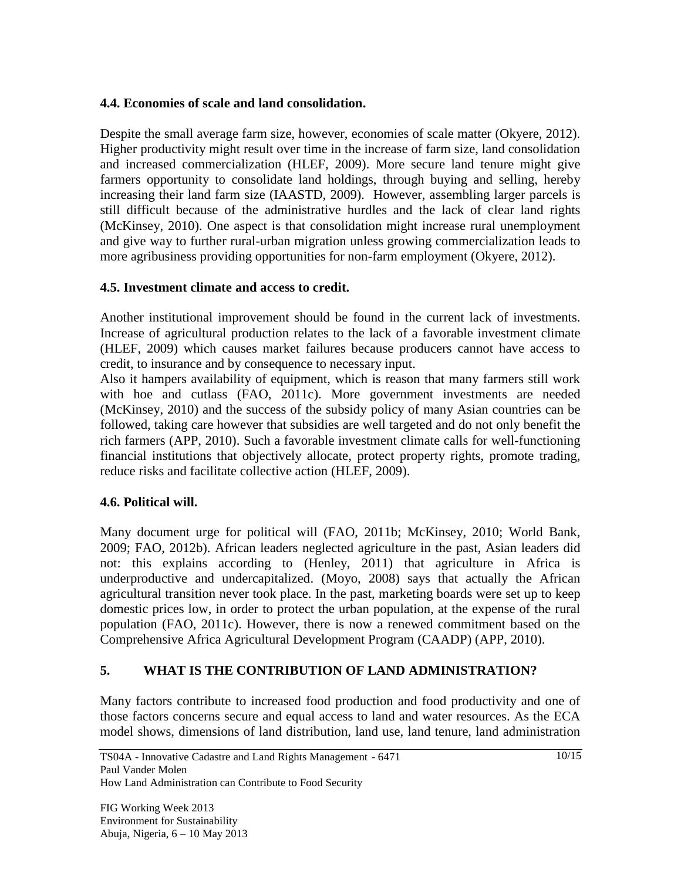### **4.4. Economies of scale and land consolidation.**

Despite the small average farm size, however, economies of scale matter (Okyere, 2012). Higher productivity might result over time in the increase of farm size, land consolidation and increased commercialization (HLEF, 2009). More secure land tenure might give farmers opportunity to consolidate land holdings, through buying and selling, hereby increasing their land farm size (IAASTD, 2009). However, assembling larger parcels is still difficult because of the administrative hurdles and the lack of clear land rights (McKinsey, 2010). One aspect is that consolidation might increase rural unemployment and give way to further rural-urban migration unless growing commercialization leads to more agribusiness providing opportunities for non-farm employment (Okyere, 2012).

## **4.5. Investment climate and access to credit.**

Another institutional improvement should be found in the current lack of investments. Increase of agricultural production relates to the lack of a favorable investment climate (HLEF, 2009) which causes market failures because producers cannot have access to credit, to insurance and by consequence to necessary input.

Also it hampers availability of equipment, which is reason that many farmers still work with hoe and cutlass (FAO, 2011c). More government investments are needed (McKinsey, 2010) and the success of the subsidy policy of many Asian countries can be followed, taking care however that subsidies are well targeted and do not only benefit the rich farmers (APP, 2010). Such a favorable investment climate calls for well-functioning financial institutions that objectively allocate, protect property rights, promote trading, reduce risks and facilitate collective action (HLEF, 2009).

## **4.6. Political will.**

Many document urge for political will (FAO, 2011b; McKinsey, 2010; World Bank, 2009; FAO, 2012b). African leaders neglected agriculture in the past, Asian leaders did not: this explains according to (Henley, 2011) that agriculture in Africa is underproductive and undercapitalized. (Moyo, 2008) says that actually the African agricultural transition never took place. In the past, marketing boards were set up to keep domestic prices low, in order to protect the urban population, at the expense of the rural population (FAO, 2011c). However, there is now a renewed commitment based on the Comprehensive Africa Agricultural Development Program (CAADP) (APP, 2010).

## **5. WHAT IS THE CONTRIBUTION OF LAND ADMINISTRATION?**

Many factors contribute to increased food production and food productivity and one of those factors concerns secure and equal access to land and water resources. As the ECA model shows, dimensions of land distribution, land use, land tenure, land administration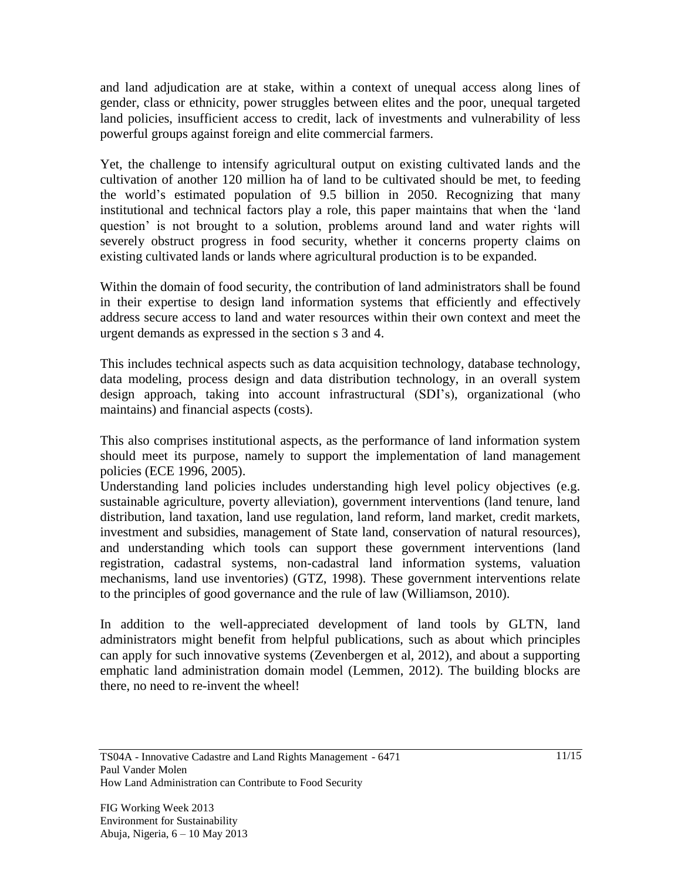and land adjudication are at stake, within a context of unequal access along lines of gender, class or ethnicity, power struggles between elites and the poor, unequal targeted land policies, insufficient access to credit, lack of investments and vulnerability of less powerful groups against foreign and elite commercial farmers.

Yet, the challenge to intensify agricultural output on existing cultivated lands and the cultivation of another 120 million ha of land to be cultivated should be met, to feeding the world's estimated population of 9.5 billion in 2050. Recognizing that many institutional and technical factors play a role, this paper maintains that when the 'land question' is not brought to a solution, problems around land and water rights will severely obstruct progress in food security, whether it concerns property claims on existing cultivated lands or lands where agricultural production is to be expanded.

Within the domain of food security, the contribution of land administrators shall be found in their expertise to design land information systems that efficiently and effectively address secure access to land and water resources within their own context and meet the urgent demands as expressed in the section s 3 and 4.

This includes technical aspects such as data acquisition technology, database technology, data modeling, process design and data distribution technology, in an overall system design approach, taking into account infrastructural (SDI's), organizational (who maintains) and financial aspects (costs).

This also comprises institutional aspects, as the performance of land information system should meet its purpose, namely to support the implementation of land management policies (ECE 1996, 2005).

Understanding land policies includes understanding high level policy objectives (e.g. sustainable agriculture, poverty alleviation), government interventions (land tenure, land distribution, land taxation, land use regulation, land reform, land market, credit markets, investment and subsidies, management of State land, conservation of natural resources), and understanding which tools can support these government interventions (land registration, cadastral systems, non-cadastral land information systems, valuation mechanisms, land use inventories) (GTZ, 1998). These government interventions relate to the principles of good governance and the rule of law (Williamson, 2010).

In addition to the well-appreciated development of land tools by GLTN, land administrators might benefit from helpful publications, such as about which principles can apply for such innovative systems (Zevenbergen et al, 2012), and about a supporting emphatic land administration domain model (Lemmen, 2012). The building blocks are there, no need to re-invent the wheel!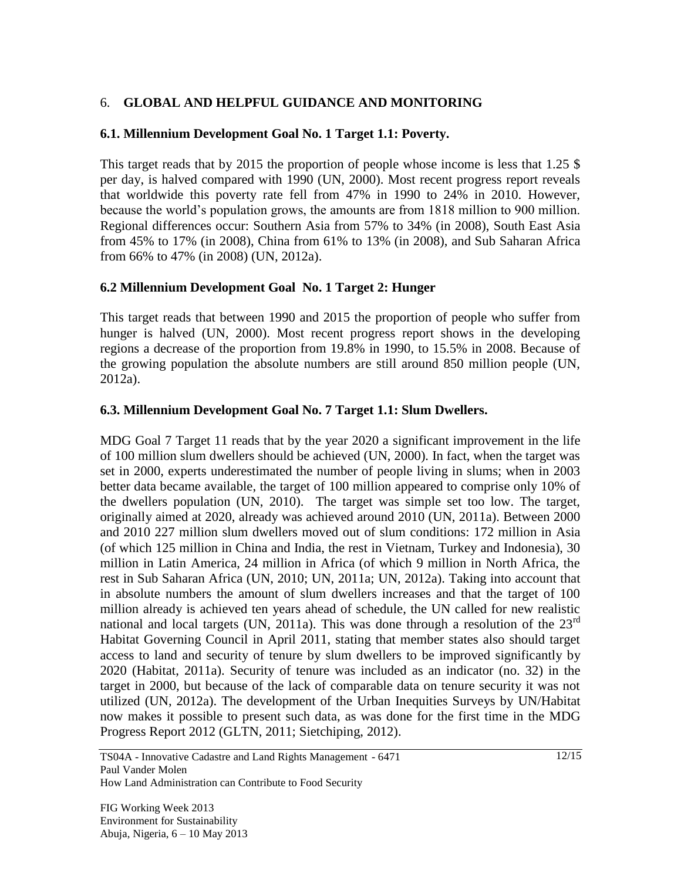### 6. **GLOBAL AND HELPFUL GUIDANCE AND MONITORING**

#### **6.1. Millennium Development Goal No. 1 Target 1.1: Poverty.**

This target reads that by 2015 the proportion of people whose income is less that 1.25 \$ per day, is halved compared with 1990 (UN, 2000). Most recent progress report reveals that worldwide this poverty rate fell from 47% in 1990 to 24% in 2010. However, because the world's population grows, the amounts are from 1818 million to 900 million. Regional differences occur: Southern Asia from 57% to 34% (in 2008), South East Asia from 45% to 17% (in 2008), China from 61% to 13% (in 2008), and Sub Saharan Africa from 66% to 47% (in 2008) (UN, 2012a).

#### **6.2 Millennium Development Goal No. 1 Target 2: Hunger**

This target reads that between 1990 and 2015 the proportion of people who suffer from hunger is halved (UN, 2000). Most recent progress report shows in the developing regions a decrease of the proportion from 19.8% in 1990, to 15.5% in 2008. Because of the growing population the absolute numbers are still around 850 million people (UN, 2012a).

#### **6.3. Millennium Development Goal No. 7 Target 1.1: Slum Dwellers.**

MDG Goal 7 Target 11 reads that by the year 2020 a significant improvement in the life of 100 million slum dwellers should be achieved (UN, 2000). In fact, when the target was set in 2000, experts underestimated the number of people living in slums; when in 2003 better data became available, the target of 100 million appeared to comprise only 10% of the dwellers population (UN, 2010). The target was simple set too low. The target, originally aimed at 2020, already was achieved around 2010 (UN, 2011a). Between 2000 and 2010 227 million slum dwellers moved out of slum conditions: 172 million in Asia (of which 125 million in China and India, the rest in Vietnam, Turkey and Indonesia), 30 million in Latin America, 24 million in Africa (of which 9 million in North Africa, the rest in Sub Saharan Africa (UN, 2010; UN, 2011a; UN, 2012a). Taking into account that in absolute numbers the amount of slum dwellers increases and that the target of 100 million already is achieved ten years ahead of schedule, the UN called for new realistic national and local targets (UN, 2011a). This was done through a resolution of the  $23^{\text{rd}}$ Habitat Governing Council in April 2011, stating that member states also should target access to land and security of tenure by slum dwellers to be improved significantly by 2020 (Habitat, 2011a). Security of tenure was included as an indicator (no. 32) in the target in 2000, but because of the lack of comparable data on tenure security it was not utilized (UN, 2012a). The development of the Urban Inequities Surveys by UN/Habitat now makes it possible to present such data, as was done for the first time in the MDG Progress Report 2012 (GLTN, 2011; Sietchiping, 2012).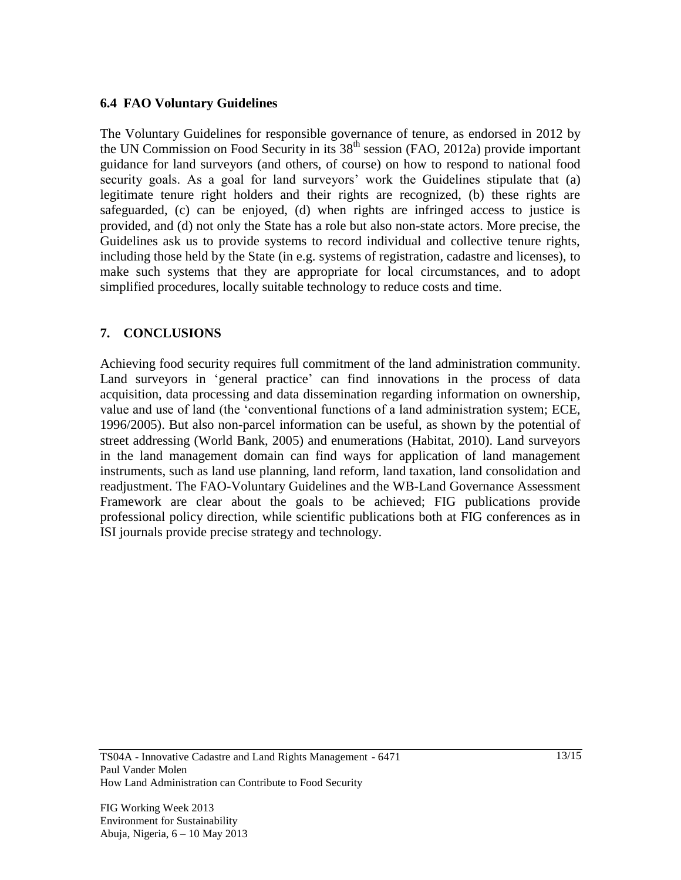#### **6.4 FAO Voluntary Guidelines**

The Voluntary Guidelines for responsible governance of tenure, as endorsed in 2012 by the UN Commission on Food Security in its  $38<sup>th</sup>$  session (FAO, 2012a) provide important guidance for land surveyors (and others, of course) on how to respond to national food security goals. As a goal for land surveyors' work the Guidelines stipulate that (a) legitimate tenure right holders and their rights are recognized, (b) these rights are safeguarded, (c) can be enjoyed, (d) when rights are infringed access to justice is provided, and (d) not only the State has a role but also non-state actors. More precise, the Guidelines ask us to provide systems to record individual and collective tenure rights, including those held by the State (in e.g. systems of registration, cadastre and licenses), to make such systems that they are appropriate for local circumstances, and to adopt simplified procedures, locally suitable technology to reduce costs and time.

## **7. CONCLUSIONS**

Achieving food security requires full commitment of the land administration community. Land surveyors in 'general practice' can find innovations in the process of data acquisition, data processing and data dissemination regarding information on ownership, value and use of land (the 'conventional functions of a land administration system; ECE, 1996/2005). But also non-parcel information can be useful, as shown by the potential of street addressing (World Bank, 2005) and enumerations (Habitat, 2010). Land surveyors in the land management domain can find ways for application of land management instruments, such as land use planning, land reform, land taxation, land consolidation and readjustment. The FAO-Voluntary Guidelines and the WB-Land Governance Assessment Framework are clear about the goals to be achieved; FIG publications provide professional policy direction, while scientific publications both at FIG conferences as in ISI journals provide precise strategy and technology.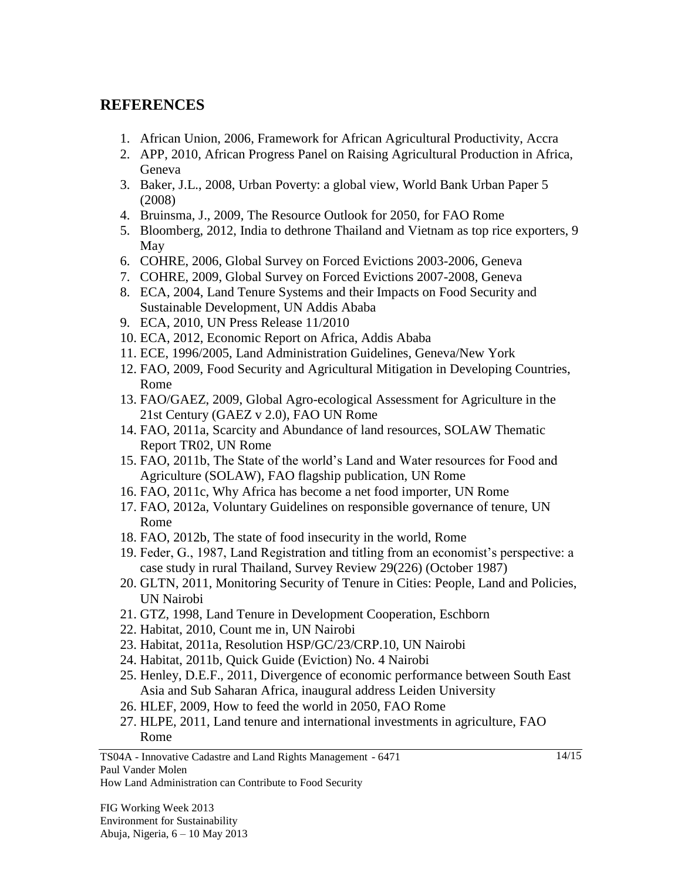# **REFERENCES**

- 1. African Union, 2006, Framework for African Agricultural Productivity, Accra
- 2. APP, 2010, African Progress Panel on Raising Agricultural Production in Africa, Geneva
- 3. Baker, J.L., 2008, Urban Poverty: a global view, World Bank Urban Paper 5 (2008)
- 4. Bruinsma, J., 2009, The Resource Outlook for 2050, for FAO Rome
- 5. Bloomberg, 2012, India to dethrone Thailand and Vietnam as top rice exporters, 9 May
- 6. COHRE, 2006, Global Survey on Forced Evictions 2003-2006, Geneva
- 7. COHRE, 2009, Global Survey on Forced Evictions 2007-2008, Geneva
- 8. ECA, 2004, Land Tenure Systems and their Impacts on Food Security and Sustainable Development, UN Addis Ababa
- 9. ECA, 2010, UN Press Release 11/2010
- 10. ECA, 2012, Economic Report on Africa, Addis Ababa
- 11. ECE, 1996/2005, Land Administration Guidelines, Geneva/New York
- 12. FAO, 2009, Food Security and Agricultural Mitigation in Developing Countries, Rome
- 13. FAO/GAEZ, 2009, [Global Agro-ecological Assessment for Agriculture in the](http://www.iiasa.ac.at/Research/LUC/SAEZ/index.html)  [21st Century \(GAEZ v 2.0\),](http://www.iiasa.ac.at/Research/LUC/SAEZ/index.html) FAO UN Rome
- 14. FAO, 2011a, Scarcity and Abundance of land resources, SOLAW Thematic Report TR02, UN Rome
- 15. FAO, 2011b, The State of the world's Land and Water resources for Food and Agriculture (SOLAW), FAO flagship publication, UN Rome
- 16. FAO, 2011c, Why Africa has become a net food importer, UN Rome
- 17. FAO, 2012a, Voluntary Guidelines on responsible governance of tenure, UN Rome
- 18. FAO, 2012b, The state of food insecurity in the world, Rome
- 19. Feder, G., 1987, Land Registration and titling from an economist's perspective: a case study in rural Thailand, Survey Review 29(226) (October 1987)
- 20. GLTN, 2011, Monitoring Security of Tenure in Cities: People, Land and Policies, UN Nairobi
- 21. GTZ, 1998, Land Tenure in Development Cooperation, Eschborn
- 22. Habitat, 2010, Count me in, UN Nairobi
- 23. Habitat, 2011a, Resolution HSP/GC/23/CRP.10, UN Nairobi
- 24. Habitat, 2011b, Quick Guide (Eviction) No. 4 Nairobi
- 25. Henley, D.E.F., 2011, Divergence of economic performance between South East Asia and Sub Saharan Africa, inaugural address Leiden University
- 26. HLEF, 2009, How to feed the world in 2050, FAO Rome
- 27. HLPE, 2011, Land tenure and international investments in agriculture, FAO Rome

TS04A - Innovative Cadastre and Land Rights Management - 6471 Paul Vander Molen How Land Administration can Contribute to Food Security